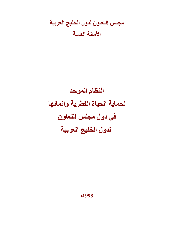مجلس التعاون لدول الخليج العربية الأمانية العامة

النظام الموحد لحماية الحياة الفطرية وانمائها في دول مجلس التعاون لدول الخليج العربية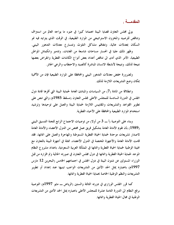المقدمسة .

يولى مجلس التعاون قضايا البيئة اهتماما كبيرا في ضوء ما يواجه العالم من استنزاف وتناقص للرصيد والمخزون الاستراتيجي من الموارد الطبيعية، في الوقت الذي يتزايد فيه نمو السكان بمعدلات عالية، وتتفاقم مشاكل التلوث وتتسارع معدلات التدهور البيئي.

وظهر ذلك جليا في انحسار مساحات شاسعة من الغابات، وتدمير وانكماش المواطن الطبيعية، الأمر الذي أدى الى تناقص أعداد بعض أنواع الكائنات الفطرية وانقراض بعضها نتيجة لذلك، ونتيجة لأنشطة الانسان المباشرة كالصيد والاحتطاب والرعى الجائر.

ولضرورة خفض معدلات التدهور البيئي والمحافظة على الموارد الطبيعية فإن من الأهمية بمكان وضع التشريعات اللازمة لذلك.

وانطلاقًا من المادة (7) من السياسات والمبادئ العامة لحماية البيئة التي أقرها قادة دول المجلس في الدورة السادسة للمجلس الأعلى لمجلس التعاون (مسقط 1985م) والتي تنص على تطوير القواعد والتشريعات والمقاييس اللازمة لحماية البيئة والعمل على توحيدها وترشيد استخدام الموارد الطبيعية والمحافظة على الأحياء الفطرية.

وبناء على التوصية (أ ــــ 3 من أولا) من توصيات الاجتماع الرابع للجنة التنسيق البيئي (1989) بأن تقوم الأمانة العامة بتشكيل فريق عمل مختص من الدول الأعضاء والأمانة العامة لاصدار تشريعات موحدة لحماية الحياة الفطرية المستوطنة والمهاجرة والعمل على انمائها، فقد قامت الأمانة العامة والأجهزة المختصة في الدول الأعضاء، ممثلة في أجهزة البيئة بالتعاون مع الهيئة الوطنية لحماية الحياة الفطرية وانمائها في المملكة العربية السعودية، باعداد مشروع النظام الموحد لحماية الحياة الفطرية وانمائها في دول مجلس التعاون في صورته الحالية وتم اقراره من قبل الوزراء المسئولين عن شئون البيئة في دول المجلس في اجتماعهم الخامس (البحرين 12 مارس 1997م) باعتباره يمثل الحد الأدبي من التشريعات الواجب تبنيها عند إعداد أو تطوير التشريعات والنظم الوطنية الخاصة بحماية الحياة الفطرية وانمائها.

كما قرر المجلس الوزاري في دورته الثالثة والستين (الرياض ـــ مايو 1997م) التوصية برفع النظام الى الدورة الثامنة عشرة للمجلس الأعلى باعتباره يمثل الحد الأدبى من التشريعات الوطنية في مجال الحياة الفطرية وانمائها.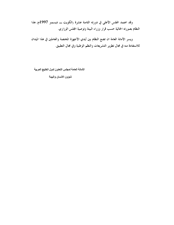وقد اعتمد المجلس الأعلى في دورته الثامنة عشرة (الكويت ـــ ديسمبر 1997م) هذا النظام بصورته الحالية حسب قرار وزراء البيئة وتوصية المجلس الوزاري.

ويسر الأمانة العامة ان تضع النظام بين أيدي الأجهزة المختصة والعاملين في هذا الميدان للاستفادة منه في مجال تطوير التشريعات والنظم الوطنية وفي مجال التطبيق.

الأمانة العامة لمجلس التعاون لدول الخليج العربية

شوون الانسان والبيئة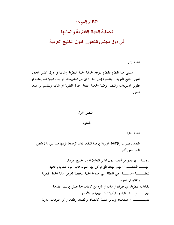## النظام الموحد

# لحماية الحياة الفطرية وانمائها

# في دول مجلس التعاون لدول الخليج العربية

المادة الأولى :

يسمى هذا النظام بالنظام الموحد لحماية الحياة الفطرية وانمائها في دول مجلس التعاون لدول الخليج العربية .. باعتباره يمثل الحد الأدنى من التشريعات الواجب تبنيها عند إعداد او تطوير التشريعات والنظم الوطنية الخاصة بحماية الحياة الفطرية أو إنمائها وينقسم الى سبعة فصول:

## الفصل الأول

#### التعاريف

المادة الثانية :

يقصد بالعبارات والألفاظ الواردة في هذا النظام المعاني الموضحة قرينها فيما يلي ما لم يقتض النص معنى آخر .

الدولــــة : أي عضو من أعضاء دول مجلس التعاون لدول الخليج العربية. الجهـــــــــة المختصـــــة : الجهة/الجهات التي توكل اليها الدولة حماية الحياة الفطرية وانمائها. المنطقـــــــة المحميـــــة: هي المنطقة التي تحددها الجهة المختصة لغرض حماية الحياة الفطرية وانمائها في الدولة. الكائنات الفطرية: أي حيوان أو نبات أو غيره من كائنات حية يعيش في بيئته الطبيعية. الصيــــــــــــــــــــــــــــ : استخدام وسائل معينة كالشباك والمصائد والفخاخ أو حيوانات مدربة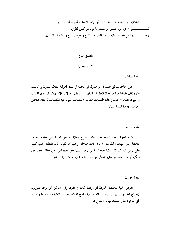كالكلاب والصقور لقتل الحيوانات أو الإمساك بما أو أسرها أو تسميمها. المنتــــــــــــــــج : أي جزء طبيعي أو مصنع مأخوذ من كائن فطري. الاتجــــــــار : يشمل عمليات الاستيراد والتصدير والبيع والعرض للبيع والمقايضة والتبادل.

> الفصل الثانى المناطق المحمية

> > المادة الثالثة :

يجوز اعلان مناطق محمية في بر الدولة أو مياهها أو المياه الدولية المتاخمة للدولة والخاضعة لها، وذلك لحماية موارد الحياة الفطرية وانمائها، أو لتنظيم معدلات الاستهلاك السنوي للنبات والحيوان بحيث لا تتجاوز هذه المعدلات الطاقة الاستيعابية البيولوجية للكائنات في تلك المناطق ومراقبة الجودة البيئية فيها.

المادة الرابعة :

تقوم الجهة المختصة بتحديد المناطق المقترح اعلانها مناطق محمية على خارطة تعدها بالاتفاق مع الجهات الحكومية الأخرى ذات العلاقة، ويجب أن تكون اقامة المنطقة المحمية كلها على أرض غير مملوكة ملكية خاصة وليس لأحد عليها حق اختصاص، وفي حالة وجود حق ملكية أو حق اختصاص عليها تعدل خريطة المنطقة المحمية أو يختار بديل عنها.

المادة الخامسة :

تعرض الجهة المختصة الخارطة فترة زمنية كافية في مقرها وفي الأماكن التي تراها ضرورية لاطلاع الجمهور عليها . ويتضمن العرض بيان نوع المنطقة المحمية والغاية من اقامتها والقيود التي قد ترد على استخدامها والانتفاع ها.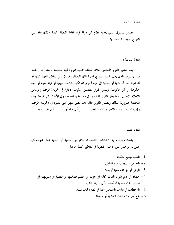المادة السادسة :

يصدر المسئول الذي يحدده نظام كل دولة قرار اقامة المنطقة المحمية وذلك بناء على اقتراح الجهة المختصة فيها.

المادة السابعة :

بعد صدور القرار المتضمن اعلان المنطقة المحمية تقوم الجهة المختصة باصدار قرار تحدد فيه الأسلوب الذي يجب السير عليه في ادارة تلك المنطقة. ولها أن تدير المناطق المحمية كلها أو أن تعهد بادارتها كلها أو بعضها الى جهة أخرى قد تكون شخصا طبيعيا أو هيئة معينة أو جهة حكومية أو غير حكومية. وينشر القرار المتضمن اسلوب الادارة في الجريدة الرسمية وبوسائل الاعلام الأخرى، كما يعلن القرار لمدة شهر في مقر الجهة المختصة وفي الأماكن التي تراها الجهة المختصة ضرورية لذلك ويصبح القرار نافذا بعد مضي شهر على نشره في الجريدة الرسمية 

المادة الثامنة :

باستثناء مايقوم به الأشخاص المختصون للأغراض العلمية أو الحماية يحظر ممارسة أي عمل له أثر ضارٍ على الأحياء الفطرية في المناطق المحمية خاصة:

1– الصيد بجميع أشكاله. التعرض لمسيجات هذه المناطق.  $-2$ 3- الرعي أو الزراعة سقيا أو بعلا . 4- حصاد أو جمع المواد النباتية كليا أو جزئيا أو تحطيم فصائلها أو قطعها أو تشويهها أو استئصالها أو قطفها أو أخذها بأي طريقة كانت . 5- الاحتطاب أو اتلاف الأشجار الحية أو قطع الجاف منها. جمع أجزاء الكائنات الفطرية أو منتجاهّا . $\mathbf - \mathbf 6$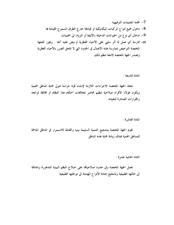- 7– اقامة المخيمات الترفيهية . 8- دخول جميع أنواع المركبات الميكانيكية أو قيادقا خارج الطرق المسموح القيادة بما. 9- ادخال أي نوع من الحيوانات الدخيلة (الأليفة أو البرية) الى المحميات. 10- ممارسة أي عمل له أثر سلبي على الأحياء الفطرية لم ينص عليه آنفا . ويجوز للجهة
- المختصة الترخيص بممارسة هذه الأعمال في الحدود التي لا تلحق الضرر بالأحياء الفطرية وتصدر الجهة المختصة لائحة تنظم ذلك.

المادة التاسعة :

تتخذ الجهة المختصة الاجراءات اللازمة لإنشاء قوة حراسة تتولى حماية المناطق المحمية ويكون لهؤلاء الأفراد صلاحية تنظيم محاضر بمخالفات أحكام هذا النظام أو مخالفة لوائحه والقرارات الصادرة لتنفيذه.

المادة العاشرة :

تقوم الجهة المختصة بتشجيع التنمية السليمة بيئيا والقابلة للاستمرار في المناطق المتاخمة للمناطق المحمية بمدف زيادة حماية هذه المناطق.

المادة الحادية عشرة :

تعمل الجهة المختصة وفي حدود صلاحياقما على اصلاح النظم البيئية المتدهورة وإعادقا الى حالتها الطبيعية وتشجيع إعادة الأنواع المهددة الى مواطنها الطبيعية.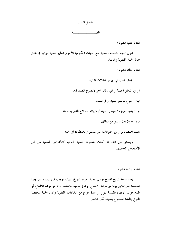الفصل الثالث الصير والمستحصص

المادة الثانية عشرة :

تتولى الجهة المختصة بالتنسيق مع الجهات الحكومية الأخرى تنظيم الصيد البري بما يحقق حماية الحياة الفطرية وانمائها.

المادة الثالثة عشرة :

يحظر الصيد في أي من الحالات التالية:

أ ) في المناطق المحمية أو أي مكان آخر لايصرح الصيد فيه.

ب) خارج موسم الصيد أو في المساء.

د ) بدون إذن مسبق من المالك.

هـ) اصطياد نوع من الحيوانات غير المسموح باصطياده أو أخذه.

ويستثني من ذلك اذا كانت عمليات الصيد قانونية كالأغراض العلمية من قبل الأشخاص المختصبن.

المادة الرابعة عشرة:

يحدد موعد تاريخ افتتاح موسم الصيد وموعد تاريخ انتهائه بموجب قرار يصدر من الجهة المختصة قبل ثلاثين يوما من موعد الافتتاح. ويجوز للجهة المختصة أن تؤخر موعد الافتتاح أو تقدم موعد الانتهاء بالنسبة لنوع أو عدة أنواع من الكائنات الفطرية وتحدد الجهة المختصة النوع والعدد المسموح بصيده لكل شخص.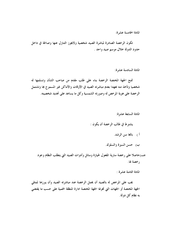المادة الخامسة عشرة:

تكون الرخصة الصادرة لمباشرة الصيد شخصية ولايجوز التنازل عنها وصالحة في داخل حدود الدولة خلال موسم صيد واحد .

المادة السادسة عشرة:

تمتح الجهة المختصة الرخصة بناء على طلب مقدم من صاحب الشأن وتسلمها له شخصيا وتأخذ منه تعهدا بعدم مباشرته الصيد في الأوقات والأماكن غير المسموح ها وتشتمل الرخصة على هوية المرخص له وصورته الشمسية وكل ما يساعد على تحديد شخصيته.

المادة السابعة عشرة:

يشترط في طالب الرخصة أن يكون :

أ ) بالغا سن الرشد.

ب) حسن السيرة والسلوك.

جب حاصلا على رخصة سارية المفعول لحيازة وسائل وأدوات الصيد التي يتطلب النظام وجود رخصة لها.

المادة الثامنة عشرة :

يجب على المرخص له بالصيد أن يحمل الرخصة عند مباشرته الصيد وأن يبرزها لمثلى الجهة المختصة أو الجهات التي تخولها الجهة المختصة ادارة المنطقة المحمية على حسب ما يقتضي به نظام کل دولة.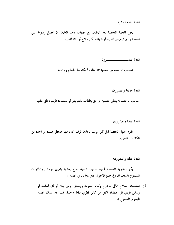المادة التاسعة عشرة :

يجوز للجهة المختصة بعد الاتفاق مع الجهات ذات العلاقة أن تحصل رسوما على استصدار أي ترخيص للصيد أو شهادة لكل سلاح أو أداة للصيد.

تسحب الرخصة من حاملها اذا خالف أحكام هذا النظام ولوائحه.

المادة الحادية والعشرون:

سحب الرخصة لا يعطي حاملها أي حق بالمطالبة بالتعويض أو باستعادة الرسوم التي دفعها.

المادة الثانية والعشرون:

تقوم الجهة المختصة قبل كل موسم باعلان قوائم تحدد فيها مايحظر صيده أو أخذه من الكائنات الفطرية.

المادة الثالثة والعشرون:

يكون للجهة المختصة تحديد أساليب الصيد ومنع بعضها وتعيين الوسائل والأدوات المسموح باستعمالها. وفي جميع الأحوال يمنع منعا باتا في الصيد :

أ ) استخدام السلاح الآلي المزدوج وكاتم الصوت ووسائل الرمى ليلا. أو أي أسلحة أو وسائل تؤدي الى اصطياد أكثر من كائن فطري دفعة واحدة، فيما عدا شباك الصيد البحري المسموح بما.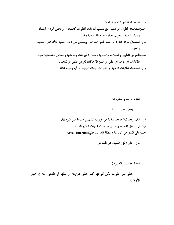- ب) استخدام المتفجرات والمفرقعات. جب)استخدام الطرق الوحشية التي تسبب ألما بليغا للطرائد كالفخاخ أو بعض أنواع الشباك، وشباك الصيد البحري المحظور استعمالها دوليا ومحليا.
- د ) استعمال مواد مخدرة أو طعم تخدر الطرائد، ويستثني من ذلك الصيد للأغراض العلمية والحماية.
- هب التعرض للطيور والسلاحف البحرية وصغار الحيوانات وبيوضها والمساس بأعشاشها سواء بالاتلاف أو الأخذ أو النقل أو البيع الا ماكان لغرض علمي أو للحماية.

و ) استخدام نظارات الرماية أو نظارات الميدان الليلية أو أية وسيلة مماثلة.

المادة الرابعة والعشرون: أ ) ليلا، ويعد ليلا ما بعد ساعة من غروب الشمس وساعة قبل شروقها. بٍ في المناطق المحمية، ويستثني من ذلك محميات تنظيم الصيد. جـ)على السواحل الأمامية ومنطقة المد الساحليArea Intertidal .

د) على الجزر البعيدة عن الساحل.

المادة الخامسة والعشرون:

يحظر بيع الطرائد بكل أنواعها كما يحظر شراؤها أو نقلها أو التجول ها في جميع الأو قات.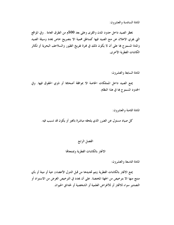المادة السادسة والعشرون:

يحظر الصيد داخل حدود المدن والقرى وعلى بعد 500م من الطرق العامة . وفي المواقع التي يجري الاعلان عن منع الصيد فيها كمناطق محمية الا بتصريح خاص يحدد وسيلة الصيد والمدة المسموح هِا على أن لا يكون ذلك في فترة تفريخ الطيور والسلاحف البحرية أو تكاثر الكائنات الفطرية الأخرى.

المادة السابعة والعشرون:

يمنع الصيد داخل الممتلكات الخاصة الا بموافقة أصحابها أو ذوي الحقوق فيها. وفي الحدود المسموح ها في هذا النظام.

المادة الثامنة والعشرون:

كل صياد مسئول عن الضرر الذي يلحقه مباشرة بالغير أو يكون قد تسبب فيه.

### الفصل الرابع

#### الاتجار بالكائنات الفطرية وبمنتجالها

المادة التاسعة والعشرون:

يمنع الاتجار بالكائنات الفطرية (يتم تحديدها من قبل الدول الأعضاء) حية أو ميتة أو بأي منتج منها الا بترخيص من الجهة المختصة. على أن يحدد في الترخيص الغرض من الاستيراد أو التصدير سواء للاتجار أو للأغراض العلمية أو الشخصية أو لحدائق الحيوان.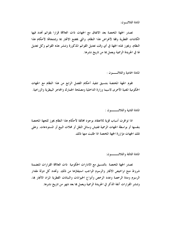تصدر الجهة المختصة بعد الاتفاق مع الجهات ذات العلاقة قرارا بقوائم تحدد فيها الكائنات الفطرية وفقا لأغراض هذا النظام، والتي يخضع الاتجار بما وبمنتجاهًا لأحكام هذا النظام، ويجوز لهذه الجهة في أي وقت تعديل القوائم المذكورة وتنشر هذه القوائم وكل تعديل لها في الجريدة الرسمية ويعمل بما من تاريخ نشرها.

المادة الحادية والثلاثــــون :

تقوم الجهة المختصة بتنسيق تنفيذ أحكام الفصل الرابع من هذا النظام مع الجهات الحكومية المعنية الأخرى لاسيما وزارة الداخلية ومصلحة الجمارك والمحجر البيطرية والزراعية.

المادة الثانية والثلاثيب ون:

اذا توافرت أسباب قوية للاعتقاد بوجود مخالفة لأحكام هذا النظام يجوز للجهة المختصة بنفسها أو بواسطة الجهات الرسمية تفتيش وسائل النقل أو محلات البيع أو المستودعات. وعلى تلك الجهات مؤازرة الجهة المختصة اذا طلبت منها ذلك.

المادة الثالثة والثلاثـــــــون:

تصدر الجهة المختصة بالتنسيق مع الادارات الحكومية ذات العلاقة القرارات المتضمنة شروط منح تراخيص الاتجار والرسوم الواجب استيفاؤها من ذلك. وتحدد كل دولة مقدار الرسوم ومدة الرخصة وعدد الرخص وأنواع الحيوانات والنباتات الفطرية المراد الاتجار بما، وتنشر القرارات آنفة الذكر في الجريدة الرسمية ويعمل بما بعد شهر من تاريخ نشرها.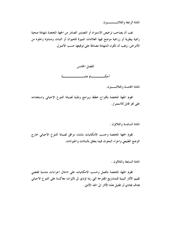المادة الرابعة والثلاثــــــــون:

يجب أن يصاحب ترخيص الاستيراد أو التصدير الصادر من الجهة المختصة شهادة صحية رسمية بيطرية أو زراعية موضح فيها العلامات المميزة للحيوان أو النبات ومنشؤه وخلوه من الأمراض، ويجب أن تكون الشهادة مصادقًا على توقيعها حسب الأصول.



المادة الخامسة والثلاثــــون:

تقوم الجهة المختصة باقتراح خطط وبرامج وطنية لصيانة التنوع الاحيائي واستخدامه على نحو قابل للاستمرار.

المادة السادسة والثلاثون :

تقوم الجهة المختصة وحسب الامكانيات بانشاء مرافق لصيانة التنوع الاحيائي خارج الوضع الطبيعي واجراء البحوث فيما يتعلق بالنباتات والحيوانات.

المادة السابعة والثلاثون :

تقوم الجهة المختصة بالعمل وحسب الامكانيات على ادخال اجراءات مناسبة تقتضى تقييم الآثار البيئية للمشاريع المقترحة التي ربما تؤدي الى تأثيرات معاكسة على التنوع الاحيائي هدف تفادي أو تقليل هذه الآثار الى الحد الأدني.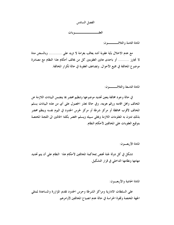

المادة الثامنة والثلاث ـــــــون:

مع عدم الاخلال بأية عقوبة أشد يعاقب بغرامة لا تزيد علمي ........... وبالسجن مدة لا تجاوز ......... أو باحدى هاتين العقوبتين كل من يخالف أحكام هذا النظام مع مصادرة موضوع المخالفة في جميع الأحوال. وتضاعف العقوبة في حالة تكرار المخالفة.

المادة التاسعة والثلاثــــــــون:

في حالة وجود مخالفة يتعين تحديد موضوعها وتنظيم محضر بما يتضمن البيانات اللازمة عن المخالف ومحل اقامته ورقم هويته، وفي حالة تعذر الحصول على أي من هذه البيانات يسلم المخالف لأقرب محافظة أو مركز شرطة أو مركز لحرس الحدود في اليوم نفسه وينظم محضر بذلك تدون به المعلومات اللازمة ويخلي سبيله ويسلم المحضر بكلتا الحالتين الى اللجنة المختصة بتوقيع العقوبات على المخالفين لأحكام النظام.

المادة الأربعون:

تشكل في كل دولة لجنة تختص بمحاكمة المخالفين لأحكام هذا النظام على أن يتم تحديد مهامها ونظامها الداخلي في قرار التشكيل.

المادة الحادية والأربعب ن:

على السلطات الادارية ومراكز الشرطة وحرس الحدود تقديم المؤازرة والمساعدة لممثلي الجهة المختصة ولقوة الحراسة في حالة عدم انصياع المخالفين لأوامرهم.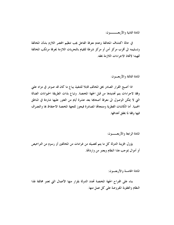المادة الثانية والأربعــــــون:

في حالة اكتشاف المخالفة وعدم معرفة الفاعل يجب تنظيم المحضر اللازم بشأن المخالفة وتسليمه الى أقرب مركز أمن أو مركز شرطة للقيام بالتحريات اللازمة لمعرفة مرتكب المخالفة تمهيدا لاتخاذ الاجراءات اللازمة بحقه.

المادة الثالثة والأربعب ن:

اذا أصبح القرار الصادر بحق المخالف قابلا للتنفيذ يباع ما كان قد صودر في مزاد علني وفقا لاجراءات يتم تحديدها من قبل الجهة المختصة. وتباع بذات الطريقة الحيوانات الضالة التي لا يمكن الوصول الى معرفة أصحابها بعد عشرة أيام من العثور عليها شاردة في المناطق المحمية. أما الكائنات الفطرية ومنتجاهّا المصادرة فيجوز للجهة المختصة الاحتفاظ بما والتصرف فيها وفقا لما يحقق أهدافها.

المادة الرابعة والأربعــــون:

يؤول لخزينة الدولة كل ما يتم تحصيله من غرامات من المخالفين أو رسوم من التراخيص أو أموال بموجب هذا النظام ويعتبر من وارداقما.

المادة الخامسة والأربعــون:

بناء على اقتراح الجهة المختصة تحدد الدولة بقرار منها الأعمال التي تعتبر مخالفة لهذا النظام والعقوبة المفروضة على كل عمل منها.